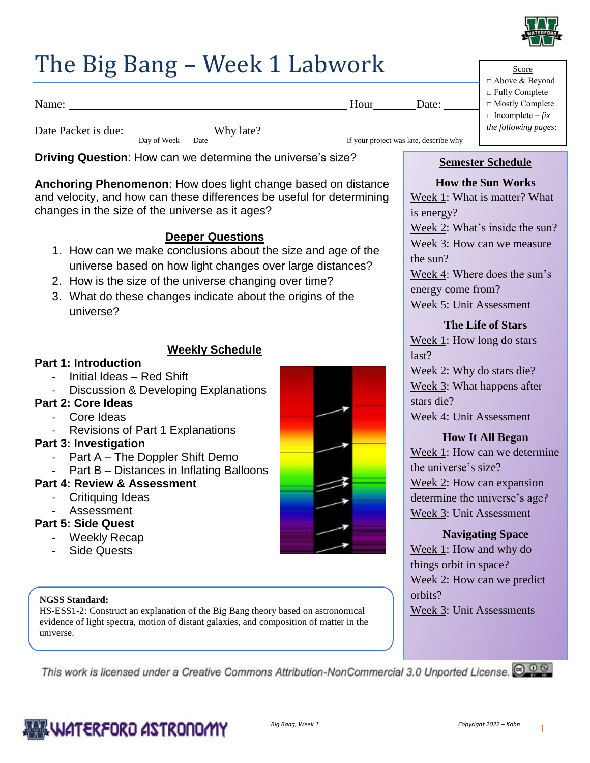

# The Big Bang – Week 1 Labwork

Name: Date: Date: Date: Date: Date: Date: Date: Date: Date: Date: Date: Date: Date: Date: Date: Date: Date: Date: Date: Date: Date: Date: Date: Date: Date: Date: Date: Date: Date: Date: Date: Date: Date: Date: Date: Date:

Score □ Above & Beyond □ Fully Complete □ Mostly Complete  $\Box$  Incomplete –  $fix$ *the following pages*:

Date Packet is due: <u>and Why late?</u> Why late? Notice is the following the following the following the following the set of the following the following the following the following the following the following the following t

Day of Week Date If your project was late, describe why

**Driving Question**: How can we determine the universe's size?

**Anchoring Phenomenon**: How does light change based on distance and velocity, and how can these differences be useful for determining changes in the size of the universe as it ages?

### **Deeper Questions**

- 1. How can we make conclusions about the size and age of the universe based on how light changes over large distances?
- 2. How is the size of the universe changing over time?
- 3. What do these changes indicate about the origins of the universe?

**Weekly Schedule**

### **Part 1: Introduction**

- Initial Ideas Red Shift
- Discussion & Developing Explanations

## **Part 2: Core Ideas**

- Core Ideas
- Revisions of Part 1 Explanations

### **Part 3: Investigation**

- Part A The Doppler Shift Demo
- Part B Distances in Inflating Balloons

## **Part 4: Review & Assessment**

- Critiquing Ideas
- Assessment
- **Part 5: Side Quest** 
	- Weekly Recap
		- Side Quests

### **NGSS Standard:**

HS-ESS1-2: Construct an explanation of the Big Bang theory based on astronomical evidence of light spectra, motion of distant galaxies, and composition of matter in the universe.

This work is licensed under a Creative Commons Attribution-NonCommercial 3.0 Unported License. @ 0 @



# **Semester Schedule**

### **How the Sun Works**

Week 1: What is matter? What is energy?

Week 2: What's inside the sun? Week 3: How can we measure

the sun?

Week 4: Where does the sun's energy come from? Week 5: Unit Assessment

## **The Life of Stars**

Week 1: How long do stars last?

Week 2: Why do stars die? Week 3: What happens after stars die?

Week 4: Unit Assessment

# **How It All Began**

Week 1: How can we determine the universe's size? Week 2: How can expansion determine the universe's age? Week 3: Unit Assessment

## **Navigating Space**

Week 1: How and why do things orbit in space? Week 2: How can we predict orbits?

Week 3: Unit Assessments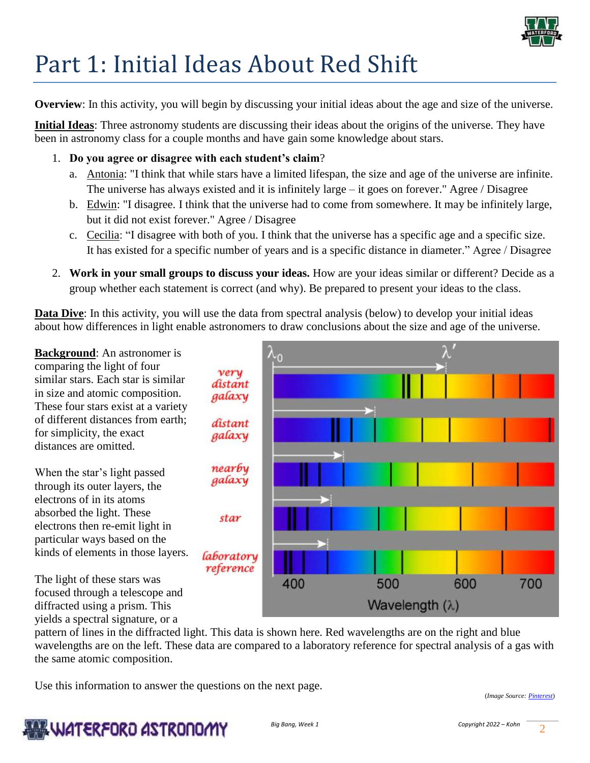

# Part 1: Initial Ideas About Red Shift

**Overview**: In this activity, you will begin by discussing your initial ideas about the age and size of the universe.

**Initial Ideas**: Three astronomy students are discussing their ideas about the origins of the universe. They have been in astronomy class for a couple months and have gain some knowledge about stars.

- 1. **Do you agree or disagree with each student's claim**?
	- a. Antonia: "I think that while stars have a limited lifespan, the size and age of the universe are infinite. The universe has always existed and it is infinitely large – it goes on forever." Agree / Disagree
	- b. Edwin: "I disagree. I think that the universe had to come from somewhere. It may be infinitely large, but it did not exist forever." Agree / Disagree
	- c. Cecilia: "I disagree with both of you. I think that the universe has a specific age and a specific size. It has existed for a specific number of years and is a specific distance in diameter." Agree / Disagree
- 2. **Work in your small groups to discuss your ideas.** How are your ideas similar or different? Decide as a group whether each statement is correct (and why). Be prepared to present your ideas to the class.

**Data Dive**: In this activity, you will use the data from spectral analysis (below) to develop your initial ideas about how differences in light enable astronomers to draw conclusions about the size and age of the universe.

**Background**: An astronomer is comparing the light of four very similar stars. Each star is similar distant in size and atomic composition. galaxy These four stars exist at a variety of different distances from earth; distant for simplicity, the exact galaxy distances are omitted. nearby When the star's light passed galaxy through its outer layers, the electrons of in its atoms absorbed the light. These star electrons then re-emit light in particular ways based on the kinds of elements in those layers. *<u>faboratory</u>* reference The light of these stars was 500 600 700 400 focused through a telescope and Wavelength  $(\lambda)$ diffracted using a prism. This yields a spectral signature, or a

pattern of lines in the diffracted light. This data is shown here. Red wavelengths are on the right and blue wavelengths are on the left. These data are compared to a laboratory reference for spectral analysis of a gas with the same atomic composition.

Use this information to answer the questions on the next page.

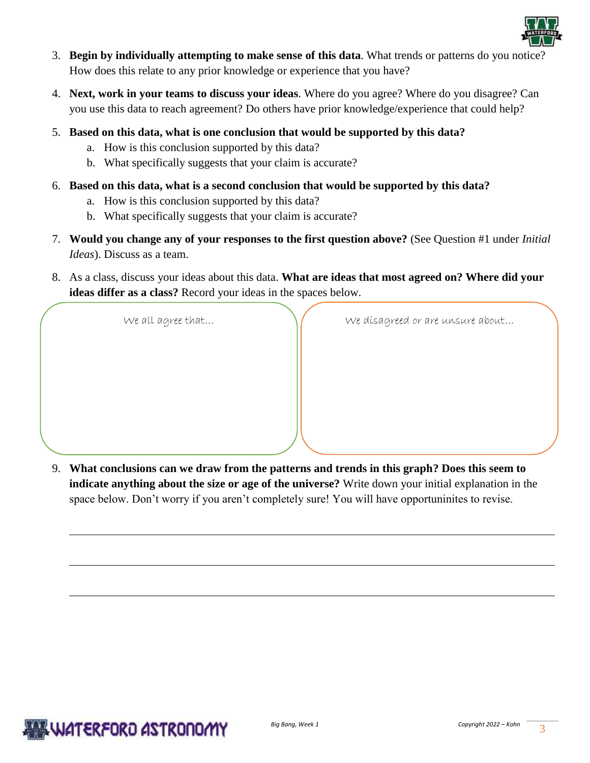

- 3. **Begin by individually attempting to make sense of this data**. What trends or patterns do you notice? How does this relate to any prior knowledge or experience that you have?
- 4. **Next, work in your teams to discuss your ideas**. Where do you agree? Where do you disagree? Can you use this data to reach agreement? Do others have prior knowledge/experience that could help?
- 5. **Based on this data, what is one conclusion that would be supported by this data?** 
	- a. How is this conclusion supported by this data?
	- b. What specifically suggests that your claim is accurate?
- 6. **Based on this data, what is a second conclusion that would be supported by this data?** 
	- a. How is this conclusion supported by this data?
	- b. What specifically suggests that your claim is accurate?
- 7. **Would you change any of your responses to the first question above?** (See Question #1 under *Initial Ideas*). Discuss as a team.
- 8. As a class, discuss your ideas about this data. **What are ideas that most agreed on? Where did your ideas differ as a class?** Record your ideas in the spaces below.

We all agree that…  $\sqrt{ }$  We disagreed or are unsure about…

9. **What conclusions can we draw from the patterns and trends in this graph? Does this seem to indicate anything about the size or age of the universe?** Write down your initial explanation in the space below. Don't worry if you aren't completely sure! You will have opportuninites to revise.

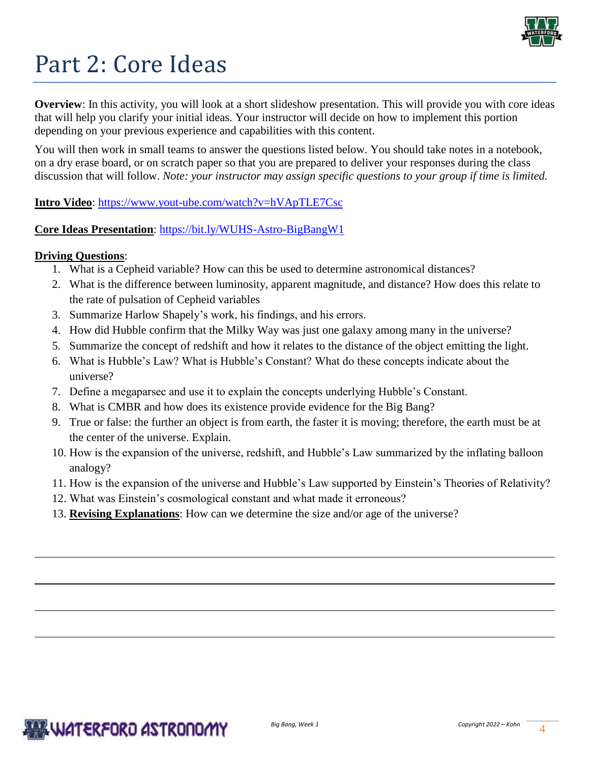

# Part 2: Core Ideas

**Overview**: In this activity, you will look at a short slideshow presentation. This will provide you with core ideas that will help you clarify your initial ideas. Your instructor will decide on how to implement this portion depending on your previous experience and capabilities with this content.

You will then work in small teams to answer the questions listed below. You should take notes in a notebook, on a dry erase board, or on scratch paper so that you are prepared to deliver your responses during the class discussion that will follow. *Note: your instructor may assign specific questions to your group if time is limited.* 

**Intro Video**: <https://www.yout-ube.com/watch?v=hVApTLE7Csc>

#### **Core Ideas Presentation**: <https://bit.ly/WUHS-Astro-BigBangW1>

#### **Driving Questions**:

- 1. What is a Cepheid variable? How can this be used to determine astronomical distances?
- 2. What is the difference between luminosity, apparent magnitude, and distance? How does this relate to the rate of pulsation of Cepheid variables
- 3. Summarize Harlow Shapely's work, his findings, and his errors.
- 4. How did Hubble confirm that the Milky Way was just one galaxy among many in the universe?
- 5. Summarize the concept of redshift and how it relates to the distance of the object emitting the light.
- 6. What is Hubble's Law? What is Hubble's Constant? What do these concepts indicate about the universe?
- 7. Define a megaparsec and use it to explain the concepts underlying Hubble's Constant.
- 8. What is CMBR and how does its existence provide evidence for the Big Bang?
- 9. True or false: the further an object is from earth, the faster it is moving; therefore, the earth must be at the center of the universe. Explain.
- 10. How is the expansion of the universe, redshift, and Hubble's Law summarized by the inflating balloon analogy?
- 11. How is the expansion of the universe and Hubble's Law supported by Einstein's Theories of Relativity?
- 12. What was Einstein's cosmological constant and what made it erroneous?
- 13. **Revising Explanations**: How can we determine the size and/or age of the universe?

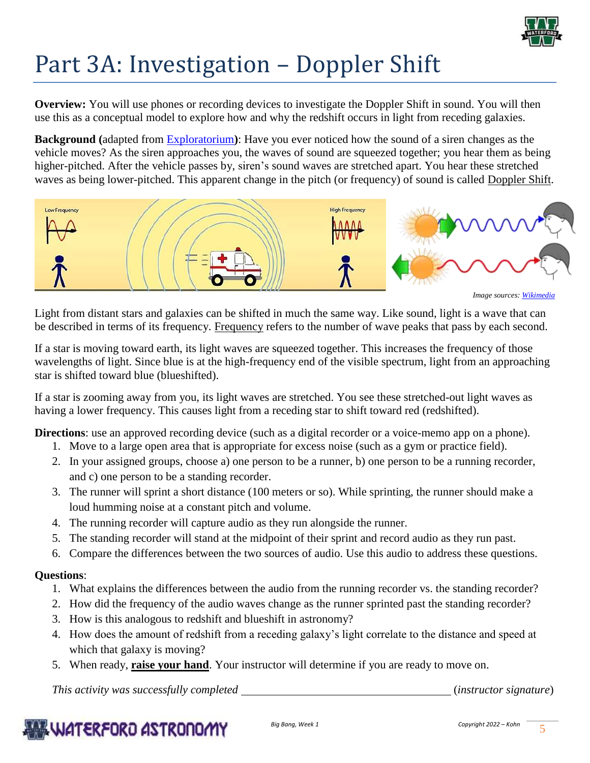

# Part 3A: Investigation – Doppler Shift

**Overview:** You will use phones or recording devices to investigate the Doppler Shift in sound. You will then use this as a conceptual model to explore how and why the redshift occurs in light from receding galaxies.

**Background (**adapted from [Exploratorium](https://www.exploratorium.edu/origins/hubble/tools/doppler.html)**)**: Have you ever noticed how the sound of a siren changes as the vehicle moves? As the siren approaches you, the waves of sound are squeezed together; you hear them as being higher-pitched. After the vehicle passes by, siren's sound waves are stretched apart. You hear these stretched waves as being lower-pitched. This apparent change in the pitch (or frequency) of sound is called Doppler Shift.



*Image sources[: Wikimedia](https://commons.wikimedia.org/wiki/File:Dopplerlkm_effect.jpg?scrlybrkr=89d673a5)*

Light from distant stars and galaxies can be shifted in much the same way. Like sound, light is a wave that can be described in terms of its frequency. Frequency refers to the number of wave peaks that pass by each second.

If a star is moving toward earth, its light waves are squeezed together. This increases the frequency of those wavelengths of light. Since blue is at the high-frequency end of the visible spectrum, light from an approaching star is shifted toward blue (blueshifted).

If a star is zooming away from you, its light waves are stretched. You see these stretched-out light waves as having a lower frequency. This causes light from a receding star to shift toward red (redshifted).

**Directions**: use an approved recording device (such as a digital recorder or a voice-memo app on a phone).

- 1. Move to a large open area that is appropriate for excess noise (such as a gym or practice field).
- 2. In your assigned groups, choose a) one person to be a runner, b) one person to be a running recorder, and c) one person to be a standing recorder.
- 3. The runner will sprint a short distance (100 meters or so). While sprinting, the runner should make a loud humming noise at a constant pitch and volume.
- 4. The running recorder will capture audio as they run alongside the runner.
- 5. The standing recorder will stand at the midpoint of their sprint and record audio as they run past.
- 6. Compare the differences between the two sources of audio. Use this audio to address these questions.

#### **Questions**:

- 1. What explains the differences between the audio from the running recorder vs. the standing recorder?
- 2. How did the frequency of the audio waves change as the runner sprinted past the standing recorder?
- 3. How is this analogous to redshift and blueshift in astronomy?
- 4. How does the amount of redshift from a receding galaxy's light correlate to the distance and speed at which that galaxy is moving?
- 5. When ready, **raise your hand**. Your instructor will determine if you are ready to move on.

*This activity was successfully completed* \_\_\_\_\_\_\_\_\_\_\_\_\_\_\_\_\_\_\_\_\_\_\_\_\_\_\_\_\_\_\_\_\_\_(*instructor signature*)

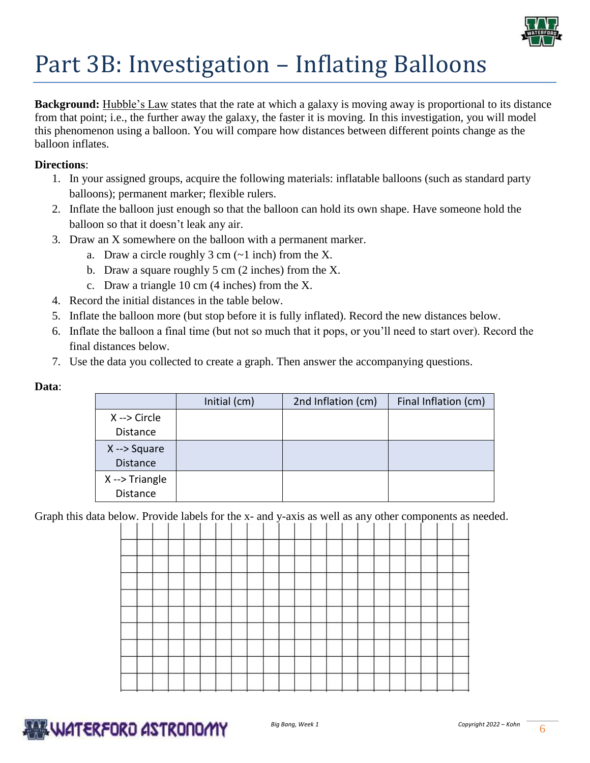

# Part 3B: Investigation – Inflating Balloons

**Background:** Hubble's Law states that the rate at which a galaxy is moving away is proportional to its distance from that point; i.e., the further away the galaxy, the faster it is moving. In this investigation, you will model this phenomenon using a balloon. You will compare how distances between different points change as the balloon inflates.

#### **Directions**:

- 1. In your assigned groups, acquire the following materials: inflatable balloons (such as standard party balloons); permanent marker; flexible rulers.
- 2. Inflate the balloon just enough so that the balloon can hold its own shape. Have someone hold the balloon so that it doesn't leak any air.
- 3. Draw an X somewhere on the balloon with a permanent marker.
	- a. Draw a circle roughly  $3 \text{ cm } (-1 \text{ inch})$  from the X.
	- b. Draw a square roughly  $5 \text{ cm}$  (2 inches) from the X.
	- c. Draw a triangle 10 cm (4 inches) from the X.
- 4. Record the initial distances in the table below.
- 5. Inflate the balloon more (but stop before it is fully inflated). Record the new distances below.
- 6. Inflate the balloon a final time (but not so much that it pops, or you'll need to start over). Record the final distances below.
- 7. Use the data you collected to create a graph. Then answer the accompanying questions.

#### **Data**:

|                          | Initial (cm) | 2nd Inflation (cm) | Final Inflation (cm) |
|--------------------------|--------------|--------------------|----------------------|
| $X \rightarrow$ Circle   |              |                    |                      |
| <b>Distance</b>          |              |                    |                      |
| $X \rightarrow$ Square   |              |                    |                      |
| <b>Distance</b>          |              |                    |                      |
| $X \rightarrow$ Triangle |              |                    |                      |
| <b>Distance</b>          |              |                    |                      |

Graph this data below. Provide labels for the x- and y-axis as well as any other components as needed.

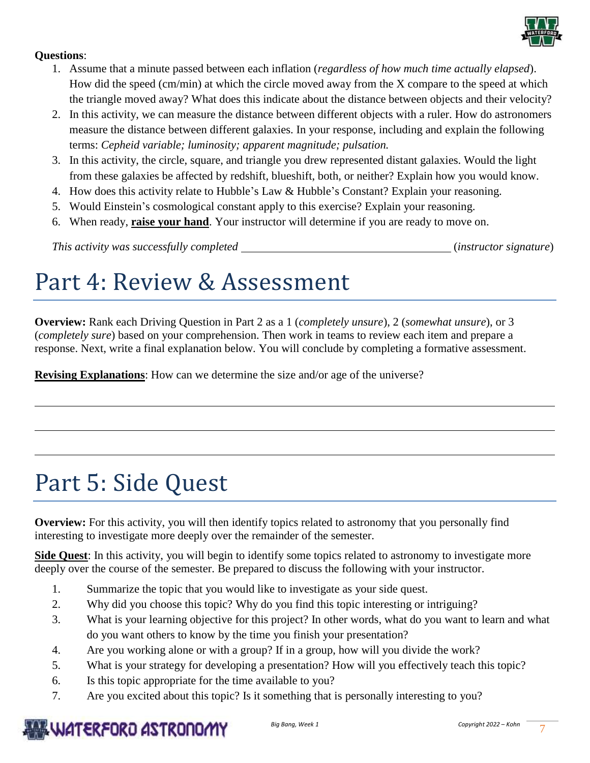

#### **Questions**:

- 1. Assume that a minute passed between each inflation (*regardless of how much time actually elapsed*). How did the speed (cm/min) at which the circle moved away from the X compare to the speed at which the triangle moved away? What does this indicate about the distance between objects and their velocity?
- 2. In this activity, we can measure the distance between different objects with a ruler. How do astronomers measure the distance between different galaxies. In your response, including and explain the following terms: *Cepheid variable; luminosity; apparent magnitude; pulsation.*
- 3. In this activity, the circle, square, and triangle you drew represented distant galaxies. Would the light from these galaxies be affected by redshift, blueshift, both, or neither? Explain how you would know.
- 4. How does this activity relate to Hubble's Law & Hubble's Constant? Explain your reasoning.
- 5. Would Einstein's cosmological constant apply to this exercise? Explain your reasoning.
- 6. When ready, **raise your hand**. Your instructor will determine if you are ready to move on.

*This activity was successfully completed* (*instructor signature*)

# Part 4: Review & Assessment

**Overview:** Rank each Driving Question in Part 2 as a 1 (*completely unsure*), 2 (*somewhat unsure*), or 3 (*completely sure*) based on your comprehension. Then work in teams to review each item and prepare a response. Next, write a final explanation below. You will conclude by completing a formative assessment.

**Revising Explanations**: How can we determine the size and/or age of the universe?

# Part 5: Side Quest

**Overview:** For this activity, you will then identify topics related to astronomy that you personally find interesting to investigate more deeply over the remainder of the semester.

**Side Quest**: In this activity, you will begin to identify some topics related to astronomy to investigate more deeply over the course of the semester. Be prepared to discuss the following with your instructor.

- 1. Summarize the topic that you would like to investigate as your side quest.
- 2. Why did you choose this topic? Why do you find this topic interesting or intriguing?
- 3. What is your learning objective for this project? In other words, what do you want to learn and what do you want others to know by the time you finish your presentation?
- 4. Are you working alone or with a group? If in a group, how will you divide the work?
- 5. What is your strategy for developing a presentation? How will you effectively teach this topic?
- 6. Is this topic appropriate for the time available to you?
- 7. Are you excited about this topic? Is it something that is personally interesting to you?

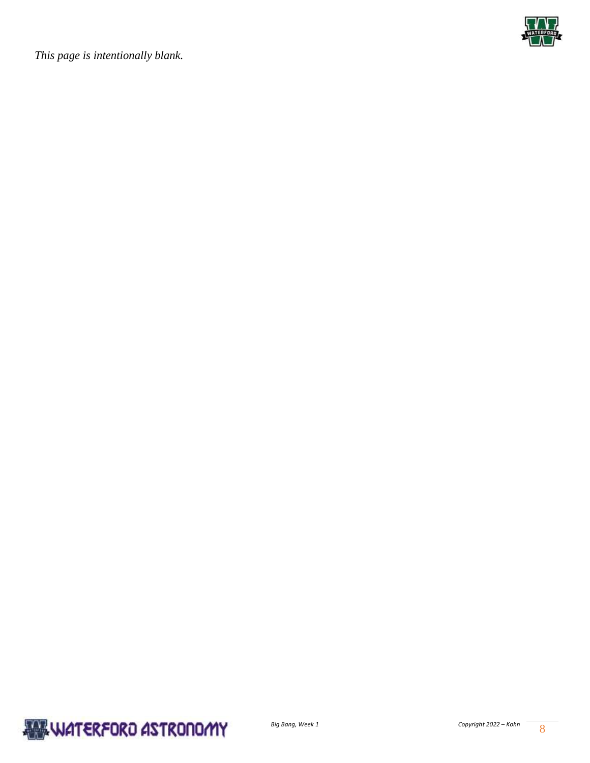

*This page is intentionally blank.* 

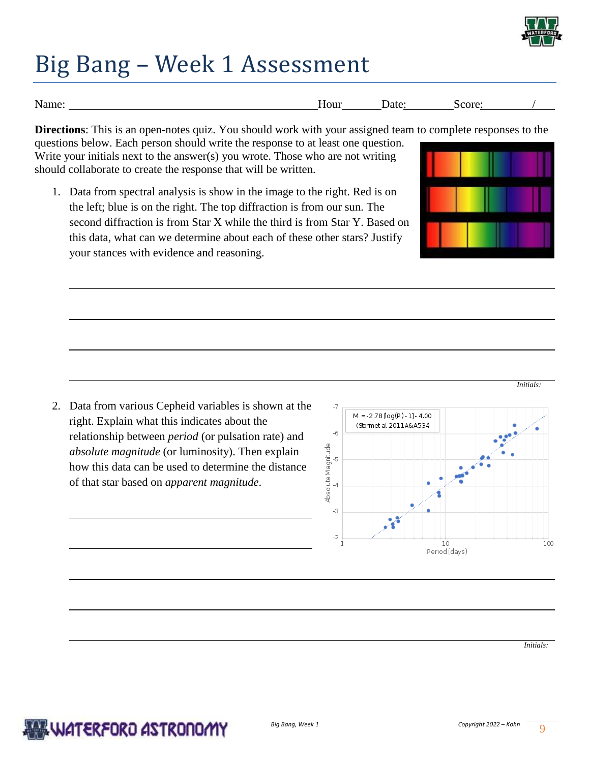

# Big Bang – Week 1 Assessment

| Name:<br>Hour | . Jate-<br>score:<br>nu v |
|---------------|---------------------------|

**Directions**: This is an open-notes quiz. You should work with your assigned team to complete responses to the questions below. Each person should write the response to at least one question. Write your initials next to the answer(s) you wrote. Those who are not writing should collaborate to create the response that will be written.

1. Data from spectral analysis is show in the image to the right. Red is on the left; blue is on the right. The top diffraction is from our sun. The second diffraction is from Star X while the third is from Star Y. Based on this data, what can we determine about each of these other stars? Justify your stances with evidence and reasoning.



2. Data from various Cepheid variables is shown at the right. Explain what this indicates about the relationship between *period* (or pulsation rate) and *absolute magnitude* (or luminosity). Then explain how this data can be used to determine the distance of that star based on *apparent magnitude*.



*Initials:* 

*Initials:*